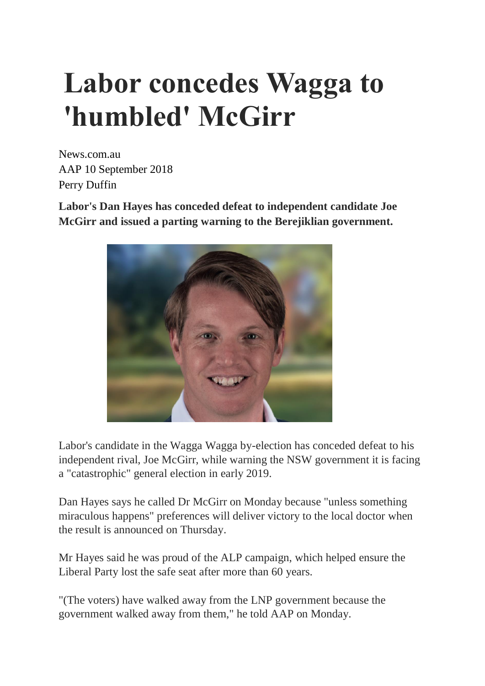## **Labor concedes Wagga to 'humbled' McGirr**

News.com.au AAP 10 September 2018 Perry Duffin

**Labor's Dan Hayes has conceded defeat to independent candidate Joe McGirr and issued a parting warning to the Berejiklian government.**



Labor's candidate in the Wagga Wagga by-election has conceded defeat to his independent rival, Joe McGirr, while warning the NSW government it is facing a "catastrophic" general election in early 2019.

Dan Hayes says he called Dr McGirr on Monday because "unless something miraculous happens" preferences will deliver victory to the local doctor when the result is announced on Thursday.

Mr Hayes said he was proud of the ALP campaign, which helped ensure the Liberal Party lost the safe seat after more than 60 years.

"(The voters) have walked away from the LNP government because the government walked away from them," he told AAP on Monday.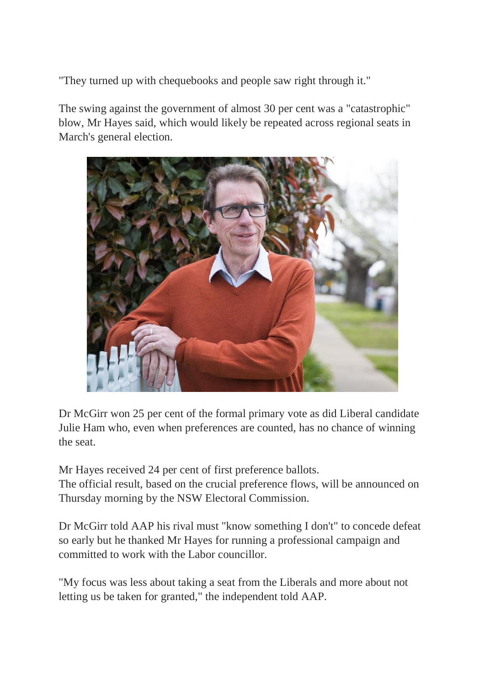"They turned up with chequebooks and people saw right through it."

The swing against the government of almost 30 per cent was a "catastrophic" blow, Mr Hayes said, which would likely be repeated across regional seats in March's general election.



Dr McGirr won 25 per cent of the formal primary vote as did Liberal candidate Julie Ham who, even when preferences are counted, has no chance of winning the seat.

Mr Hayes received 24 per cent of first preference ballots. The official result, based on the crucial preference flows, will be announced on Thursday morning by the NSW Electoral Commission.

Dr McGirr told AAP his rival must "know something I don't" to concede defeat so early but he thanked Mr Hayes for running a professional campaign and committed to work with the Labor councillor.

"My focus was less about taking a seat from the Liberals and more about not letting us be taken for granted," the independent told AAP.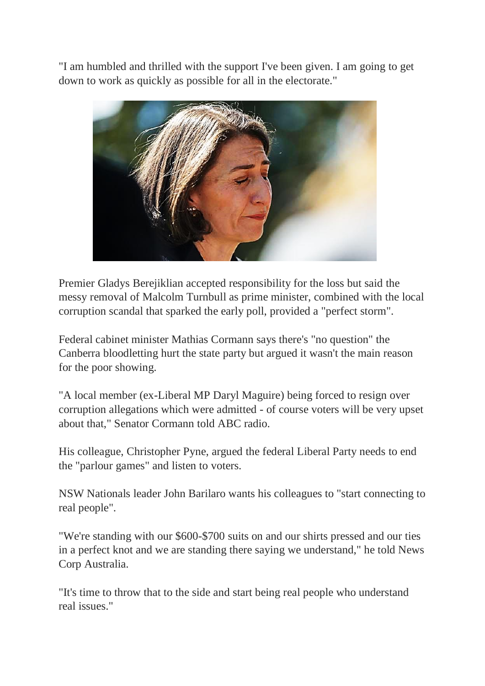"I am humbled and thrilled with the support I've been given. I am going to get down to work as quickly as possible for all in the electorate."



Premier Gladys Berejiklian accepted responsibility for the loss but said the messy removal of Malcolm Turnbull as prime minister, combined with the local corruption scandal that sparked the early poll, provided a "perfect storm".

Federal cabinet minister Mathias Cormann says there's "no question" the Canberra bloodletting hurt the state party but argued it wasn't the main reason for the poor showing.

"A local member (ex-Liberal MP Daryl Maguire) being forced to resign over corruption allegations which were admitted - of course voters will be very upset about that," Senator Cormann told ABC radio.

His colleague, Christopher Pyne, argued the federal Liberal Party needs to end the "parlour games" and listen to voters.

NSW Nationals leader John Barilaro wants his colleagues to "start connecting to real people".

"We're standing with our \$600-\$700 suits on and our shirts pressed and our ties in a perfect knot and we are standing there saying we understand," he told News Corp Australia.

"It's time to throw that to the side and start being real people who understand real issues."